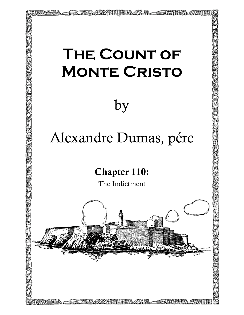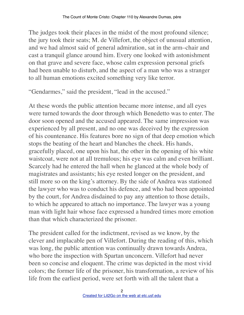The judges took their places in the midst of the most profound silence; the jury took their seats; M. de Villefort, the object of unusual attention, and we had almost said of general admiration, sat in the arm–chair and cast a tranquil glance around him. Every one looked with astonishment on that grave and severe face, whose calm expression personal griefs had been unable to disturb, and the aspect of a man who was a stranger to all human emotions excited something very like terror.

"Gendarmes," said the president, "lead in the accused."

At these words the public attention became more intense, and all eyes were turned towards the door through which Benedetto was to enter. The door soon opened and the accused appeared. The same impression was experienced by all present, and no one was deceived by the expression of his countenance. His features bore no sign of that deep emotion which stops the beating of the heart and blanches the cheek. His hands, gracefully placed, one upon his hat, the other in the opening of his white waistcoat, were not at all tremulous; his eye was calm and even brilliant. Scarcely had he entered the hall when he glanced at the whole body of magistrates and assistants; his eye rested longer on the president, and still more so on the king's attorney. By the side of Andrea was stationed the lawyer who was to conduct his defence, and who had been appointed by the court, for Andrea disdained to pay any attention to those details, to which he appeared to attach no importance. The lawyer was a young man with light hair whose face expressed a hundred times more emotion than that which characterized the prisoner.

The president called for the indictment, revised as we know, by the clever and implacable pen of Villefort. During the reading of this, which was long, the public attention was continually drawn towards Andrea, who bore the inspection with Spartan unconcern. Villefort had never been so concise and eloquent. The crime was depicted in the most vivid colors; the former life of the prisoner, his transformation, a review of his life from the earliest period, were set forth with all the talent that a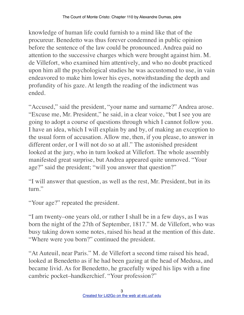knowledge of human life could furnish to a mind like that of the procureur. Benedetto was thus forever condemned in public opinion before the sentence of the law could be pronounced. Andrea paid no attention to the successive charges which were brought against him. M. de Villefort, who examined him attentively, and who no doubt practiced upon him all the psychological studies he was accustomed to use, in vain endeavored to make him lower his eyes, notwithstanding the depth and profundity of his gaze. At length the reading of the indictment was ended.

"Accused," said the president, "your name and surname?" Andrea arose. "Excuse me, Mr. President," he said, in a clear voice, "but I see you are going to adopt a course of questions through which I cannot follow you. I have an idea, which I will explain by and by, of making an exception to the usual form of accusation. Allow me, then, if you please, to answer in different order, or I will not do so at all." The astonished president looked at the jury, who in turn looked at Villefort. The whole assembly manifested great surprise, but Andrea appeared quite unmoved. "Your age?" said the president; "will you answer that question?"

"I will answer that question, as well as the rest, Mr. President, but in its turn."

"Your age?" repeated the president.

"I am twenty–one years old, or rather I shall be in a few days, as I was born the night of the 27th of September, 1817." M. de Villefort, who was busy taking down some notes, raised his head at the mention of this date. "Where were you born?" continued the president.

"At Auteuil, near Paris." M. de Villefort a second time raised his head, looked at Benedetto as if he had been gazing at the head of Medusa, and became livid. As for Benedetto, he gracefully wiped his lips with a fine cambric pocket–handkerchief. "Your profession?"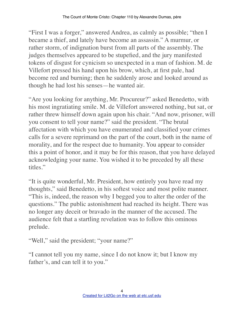"First I was a forger," answered Andrea, as calmly as possible; "then I became a thief, and lately have become an assassin." A murmur, or rather storm, of indignation burst from all parts of the assembly. The judges themselves appeared to be stupefied, and the jury manifested tokens of disgust for cynicism so unexpected in a man of fashion. M. de Villefort pressed his hand upon his brow, which, at first pale, had become red and burning; then he suddenly arose and looked around as though he had lost his senses—he wanted air.

"Are you looking for anything, Mr. Procureur?" asked Benedetto, with his most ingratiating smile. M. de Villefort answered nothing, but sat, or rather threw himself down again upon his chair. "And now, prisoner, will you consent to tell your name?" said the president. "The brutal affectation with which you have enumerated and classified your crimes calls for a severe reprimand on the part of the court, both in the name of morality, and for the respect due to humanity. You appear to consider this a point of honor, and it may be for this reason, that you have delayed acknowledging your name. You wished it to be preceded by all these titles."

"It is quite wonderful, Mr. President, how entirely you have read my thoughts," said Benedetto, in his softest voice and most polite manner. "This is, indeed, the reason why I begged you to alter the order of the questions." The public astonishment had reached its height. There was no longer any deceit or bravado in the manner of the accused. The audience felt that a startling revelation was to follow this ominous prelude.

"Well," said the president; "your name?"

"I cannot tell you my name, since I do not know it; but I know my father's, and can tell it to you."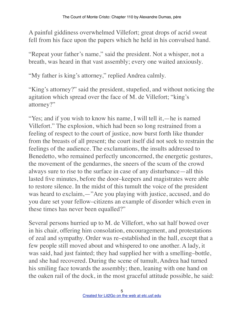A painful giddiness overwhelmed Villefort; great drops of acrid sweat fell from his face upon the papers which he held in his convulsed hand.

"Repeat your father's name," said the president. Not a whisper, not a breath, was heard in that vast assembly; every one waited anxiously.

"My father is king's attorney," replied Andrea calmly.

"King's attorney?" said the president, stupefied, and without noticing the agitation which spread over the face of M. de Villefort; "king's attorney?"

"Yes; and if you wish to know his name, I will tell it,—he is named Villefort." The explosion, which had been so long restrained from a feeling of respect to the court of justice, now burst forth like thunder from the breasts of all present; the court itself did not seek to restrain the feelings of the audience. The exclamations, the insults addressed to Benedetto, who remained perfectly unconcerned, the energetic gestures, the movement of the gendarmes, the sneers of the scum of the crowd always sure to rise to the surface in case of any disturbance—all this lasted five minutes, before the door–keepers and magistrates were able to restore silence. In the midst of this tumult the voice of the president was heard to exclaim,—"Are you playing with justice, accused, and do you dare set your fellow–citizens an example of disorder which even in these times has never been equalled?"

Several persons hurried up to M. de Villefort, who sat half bowed over in his chair, offering him consolation, encouragement, and protestations of zeal and sympathy. Order was re–established in the hall, except that a few people still moved about and whispered to one another. A lady, it was said, had just fainted; they had supplied her with a smelling–bottle, and she had recovered. During the scene of tumult, Andrea had turned his smiling face towards the assembly; then, leaning with one hand on the oaken rail of the dock, in the most graceful attitude possible, he said: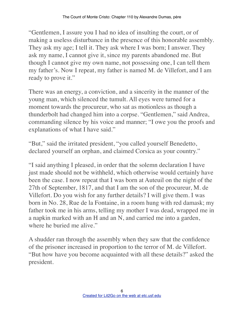"Gentlemen, I assure you I had no idea of insulting the court, or of making a useless disturbance in the presence of this honorable assembly. They ask my age; I tell it. They ask where I was born; I answer. They ask my name, I cannot give it, since my parents abandoned me. But though I cannot give my own name, not possessing one, I can tell them my father's. Now I repeat, my father is named M. de Villefort, and I am ready to prove it."

There was an energy, a conviction, and a sincerity in the manner of the young man, which silenced the tumult. All eyes were turned for a moment towards the procureur, who sat as motionless as though a thunderbolt had changed him into a corpse. "Gentlemen," said Andrea, commanding silence by his voice and manner; "I owe you the proofs and explanations of what I have said."

"But," said the irritated president, "you called yourself Benedetto, declared yourself an orphan, and claimed Corsica as your country."

"I said anything I pleased, in order that the solemn declaration I have just made should not be withheld, which otherwise would certainly have been the case. I now repeat that I was born at Auteuil on the night of the 27th of September, 1817, and that I am the son of the procureur, M. de Villefort. Do you wish for any further details? I will give them. I was born in No. 28, Rue de la Fontaine, in a room hung with red damask; my father took me in his arms, telling my mother I was dead, wrapped me in a napkin marked with an H and an N, and carried me into a garden, where he buried me alive."

A shudder ran through the assembly when they saw that the confidence of the prisoner increased in proportion to the terror of M. de Villefort. "But how have you become acquainted with all these details?" asked the president.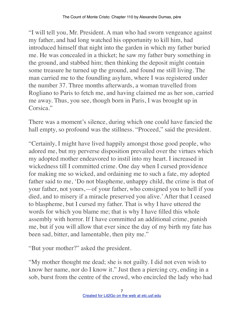"I will tell you, Mr. President. A man who had sworn vengeance against my father, and had long watched his opportunity to kill him, had introduced himself that night into the garden in which my father buried me. He was concealed in a thicket; he saw my father bury something in the ground, and stabbed him; then thinking the deposit might contain some treasure he turned up the ground, and found me still living. The man carried me to the foundling asylum, where I was registered under the number 37. Three months afterwards, a woman travelled from Rogliano to Paris to fetch me, and having claimed me as her son, carried me away. Thus, you see, though born in Paris, I was brought up in Corsica<sup>"</sup>

There was a moment's silence, during which one could have fancied the hall empty, so profound was the stillness. "Proceed," said the president.

"Certainly, I might have lived happily amongst those good people, who adored me, but my perverse disposition prevailed over the virtues which my adopted mother endeavored to instil into my heart. I increased in wickedness till I committed crime. One day when I cursed providence for making me so wicked, and ordaining me to such a fate, my adopted father said to me, 'Do not blaspheme, unhappy child, the crime is that of your father, not yours,—of your father, who consigned you to hell if you died, and to misery if a miracle preserved you alive.' After that I ceased to blaspheme, but I cursed my father. That is why I have uttered the words for which you blame me; that is why I have filled this whole assembly with horror. If I have committed an additional crime, punish me, but if you will allow that ever since the day of my birth my fate has been sad, bitter, and lamentable, then pity me."

"But your mother?" asked the president.

"My mother thought me dead; she is not guilty. I did not even wish to know her name, nor do I know it." Just then a piercing cry, ending in a sob, burst from the centre of the crowd, who encircled the lady who had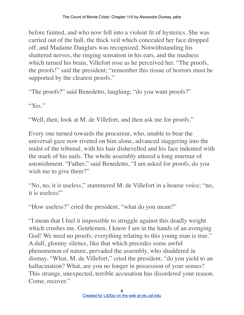before fainted, and who now fell into a violent fit of hysterics. She was carried out of the hall, the thick veil which concealed her face dropped off, and Madame Danglars was recognized. Notwithstanding his shattered nerves, the ringing sensation in his ears, and the madness which turned his brain, Villefort rose as he perceived her. "The proofs, the proofs!" said the president; "remember this tissue of horrors must be supported by the clearest proofs."

"The proofs?" said Benedetto, laughing; "do you want proofs?"

"Yes"

"Well, then, look at M. de Villefort, and then ask me for proofs."

Every one turned towards the procureur, who, unable to bear the universal gaze now riveted on him alone, advanced staggering into the midst of the tribunal, with his hair dishevelled and his face indented with the mark of his nails. The whole assembly uttered a long murmur of astonishment. "Father," said Benedetto, "I am asked for proofs, do you wish me to give them?"

"No, no, it is useless," stammered M. de Villefort in a hoarse voice; "no, it is useless!"

"How useless?" cried the president, "what do you mean?"

"I mean that I feel it impossible to struggle against this deadly weight which crushes me. Gentlemen, I know I am in the hands of an avenging God! We need no proofs; everything relating to this young man is true." A dull, gloomy silence, like that which precedes some awful phenomenon of nature, pervaded the assembly, who shuddered in dismay. "What, M. de Villefort," cried the president, "do you yield to an hallucination? What, are you no longer in possession of your senses? This strange, unexpected, terrible accusation has disordered your reason. Come, recover."